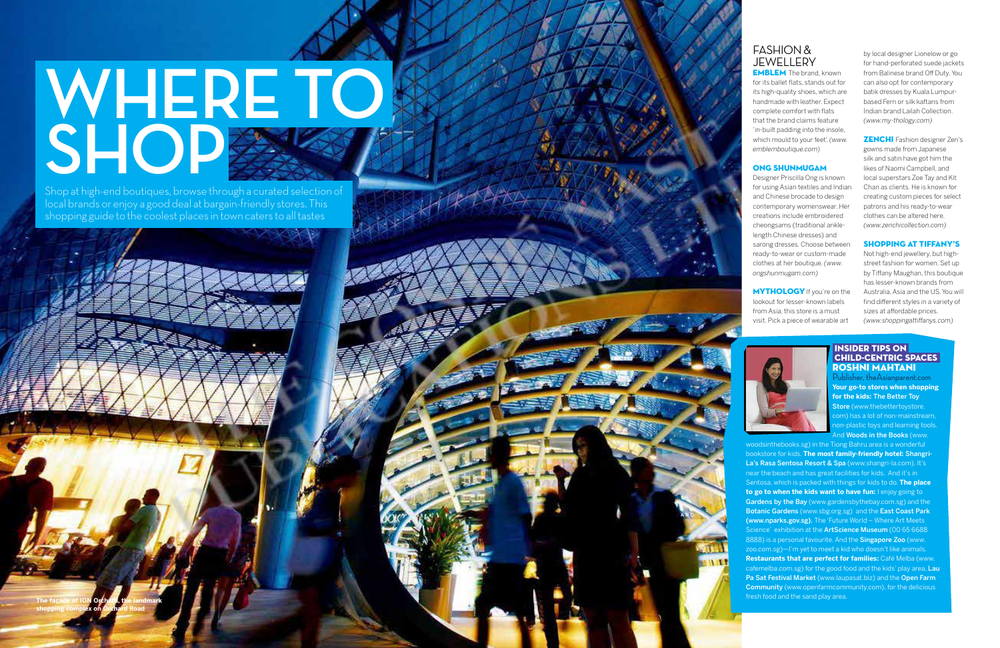## **WHERE TO**  SHOP<sup>2512</sup>

Shop at high-end boutiques, browse through a curated selection of local brands or enjoy a good deal at bargain-friendly stores. This shopping guide to the coolest places in town caters to all tastes

#### FASHION & JEWELLERY

**EMBLEM** The brand, known for its ballet flats, stands out for its high-quality shoes, which are handmade with leather. Expect complete comfort with flats that the brand claims feature 'in-built padding into the insole, which mould to your feet'. *(www. emblemboutique.com)*

**MYTHOLOGY** If you're on the lookout for lesser-known labels from Asia, this store is a must visit. Pick a piece of wearable art

#### ONG SHUNMUGAM

Designer Priscilla Ong is known for using Asian textiles and Indian and Chinese brocade to design contemporary womenswear. Her creations include embroidered cheongsams (traditional anklelength Chinese dresses) and sarong dresses. Choose between ready-to-wear or custom-made clothes at her boutique. *(www. ongshunmugam.com)*

> Publisher, theAsianparent.com **Your go-to stores when shopping for the kids:** The Better Toy Store (www.thebettertoystore. com) has a lot of non-mainstream, non-plastic toys and learning tools. and **Woods in the Books** (www.

by local designer Lionelow or go for hand-perforated suede jackets from Balinese brand Off Duty. You can also opt for contemporary batik dresses by Kuala Lumpurbased Fern or silk kaftans from Indian brand Lailah Collection. *(www.my-thology.com)* 

ZENCHI Fashion designer Zen's gowns made from Japanese silk and satin have got him the likes of Naomi Campbell, and local superstars Zoe Tay and Kit Chan as clients. He is known for creating custom pieces for select patrons and his ready-to-wear clothes can be altered here. *(www.zenchicollection.com)*

#### SHOPPING AT TIFFANY'S

Not high-end jewellery, but highstreet fashion for women. Set up by Tiffany Maughan, this boutique has lesser-known brands from Australia, Asia and the US. You will find different styles in a variety of sizes at affordable prices. *(www.shoppingattiffanys.com)*



#### INSIDER TIPS ON CHILD-CENTRIC SPACES ROSHNI MAHTANI

woodsinthebooks.sg) in the Tiong Bahru area is a wonderful bookstore for kids. **The most family-friendly hotel:** Shangri-La's Rasa Sentosa Resort & Spa (www.shangri-la.com). It's near the beach and has great facilities for kids. And it's in Sentosa, which is packed with things for kids to do. **The place to go to when the kids want to have fun:** I enjoy going to Gardens by the Bay (www.gardensbythebay.com.sg) and the Botanic Gardens (www.sbg.org.sg) and the East Coast Park (www.nparks.gov.sg). The 'Future World – Where Art Meets Science' exhibition at the **ArtScience Museum** (00 65 6688 8888) is a personal favourite. And the Singapore Zoo (www. zoo.com.sg)—I'm yet to meet a kid who doesn't like animals. **Restaurants that are perfect for families:** Café Melba (www. cafemelba.com.sg) for the good food and the kids' play area, Lau Pa Sat Festival Market (www.laupasat.biz) and the Open Farm Community (www.openfarmcommunity.com), for the delicious